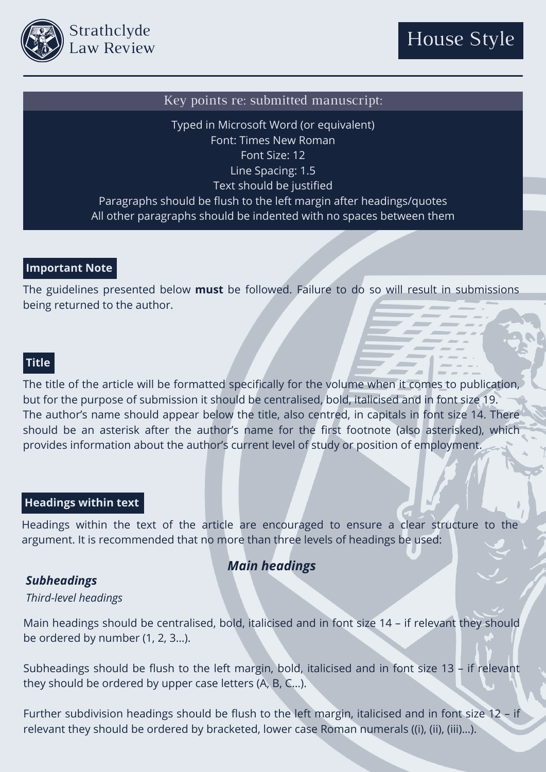

#### Key points re: submitted manuscript:

Typed in Microsoft Word (or equivalent) Font: Times New Roman Font Size: 12 Line Spacing: 1.5 Text should be justified Paragraphs should be flush to the left margin after headings/quotes All other paragraphs should be indented with no spaces between them

#### **Important Note**

The guidelines presented below **must** be followed. Failure to do so will result in submissions being returned to the author.

#### **Title**

The title of the article will be formatted specifically for the volume when it comes to publication, but for the purpose of submission it should be centralised, bold, italicised and in font size 19. The author's name should appear below the title, also centred, in capitals in font size 14. There should be an asterisk after the author's name for the first footnote (also asterisked), which provides information about the author's current level of study or position of employment.

## **Headings within text**

Headings within the text of the article are encouraged to ensure a clear structure to the argument. It is recommended that no more than three levels of headings be used:

## *Main headings*

#### *Subheadings*

#### *Third-level headings*

Main headings should be centralised, bold, italicised and in font size 14 – if relevant they should be ordered by number (1, 2, 3…).

Subheadings should be flush to the left margin, bold, italicised and in font size 13 – if relevant they should be ordered by upper case letters (A, B, C…).

Further subdivision headings should be flush to the left margin, italicised and in font size 12 – if relevant they should be ordered by bracketed, lower case Roman numerals ((i), (ii), (iii)…).